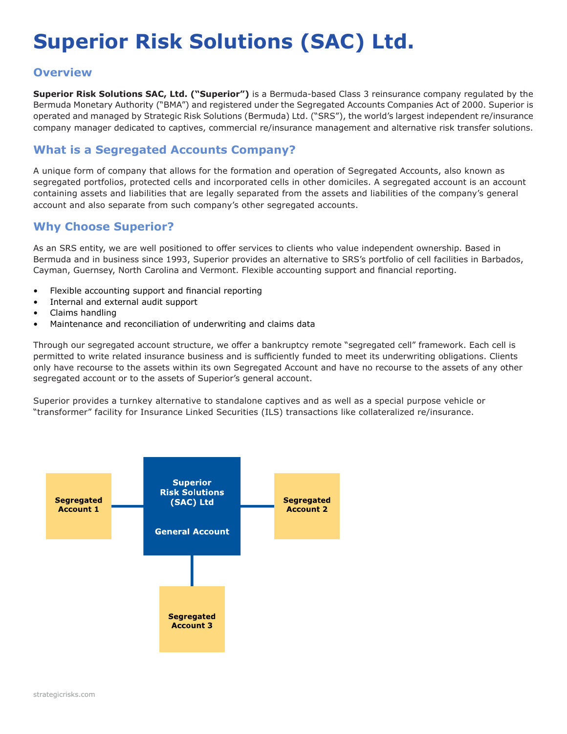# **Superior Risk Solutions (SAC) Ltd.**

#### **Overview**

**Superior Risk Solutions SAC, Ltd. ("Superior")** is a Bermuda-based Class 3 reinsurance company regulated by the Bermuda Monetary Authority ("BMA") and registered under the Segregated Accounts Companies Act of 2000. Superior is operated and managed by Strategic Risk Solutions (Bermuda) Ltd. ("SRS"), the world's largest independent re/insurance company manager dedicated to captives, commercial re/insurance management and alternative risk transfer solutions.

#### **What is a Segregated Accounts Company?**

A unique form of company that allows for the formation and operation of Segregated Accounts, also known as segregated portfolios, protected cells and incorporated cells in other domiciles. A segregated account is an account containing assets and liabilities that are legally separated from the assets and liabilities of the company's general account and also separate from such company's other segregated accounts.

#### **Why Choose Superior?**

As an SRS entity, we are well positioned to offer services to clients who value independent ownership. Based in Bermuda and in business since 1993, Superior provides an alternative to SRS's portfolio of cell facilities in Barbados, Cayman, Guernsey, North Carolina and Vermont. Flexible accounting support and financial reporting.

- Flexible accounting support and financial reporting
- Internal and external audit support
- Claims handling
- Maintenance and reconciliation of underwriting and claims data

Through our segregated account structure, we offer a bankruptcy remote "segregated cell" framework. Each cell is permitted to write related insurance business and is sufficiently funded to meet its underwriting obligations. Clients only have recourse to the assets within its own Segregated Account and have no recourse to the assets of any other segregated account or to the assets of Superior's general account.

Superior provides a turnkey alternative to standalone captives and as well as a special purpose vehicle or "transformer" facility for Insurance Linked Securities (ILS) transactions like collateralized re/insurance.